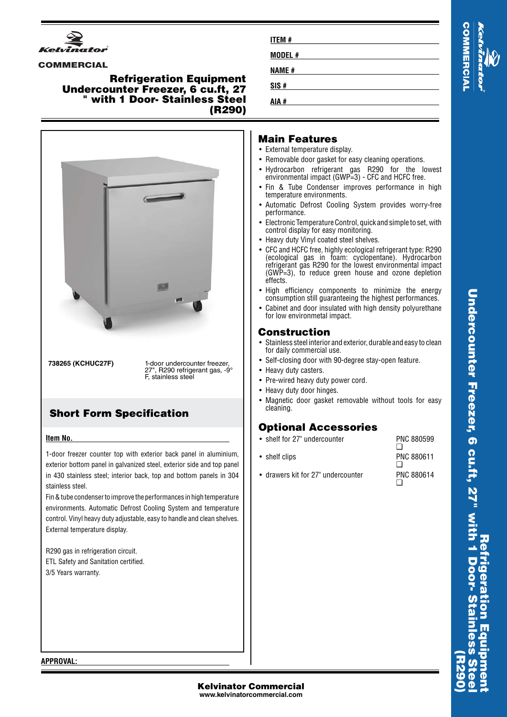

#### **COMMERCIAL**

#### **Refrigeration Equipment Undercounter Freezer, 6 cu.ft, 27 " with 1 Door- Stainless Steel (R290)**



**738265 (KCHUC27F)** 1-door undercounter freezer, ", R290 refrigerant gas, -9° F, stainless steel

## **Short Form Specification**

#### **Item No.**

1-door freezer counter top with exterior back panel in aluminium, exterior bottom panel in galvanized steel, exterior side and top panel in 430 stainless steel; interior back, top and bottom panels in 304 stainless steel.

Fin & tube condenser to improve the performances in high temperature environments. Automatic Defrost Cooling System and temperature control. Vinyl heavy duty adjustable, easy to handle and clean shelves. External temperature display.

R290 gas in refrigeration circuit. ETL Safety and Sanitation certified. 3/5 Years warranty.

| <b>ITEM#</b> |  |  |
|--------------|--|--|
| MODEL#       |  |  |
| <b>NAME#</b> |  |  |
| SIS#         |  |  |
| AIA #        |  |  |



## **Main Features**

- External temperature display.
- Removable door gasket for easy cleaning operations.
- Hydrocarbon refrigerant gas R290 for the lowest environmental impact (GWP=3) - CFC and HCFC free.
- Fin & Tube Condenser improves performance in high temperature environments.
- Automatic Defrost Cooling System provides worry-free performance.
- Electronic Temperature Control, quick and simple to set, with control display for easy monitoring.
- Heavy duty Vinyl coated steel shelves.
- • CFC and HCFC free, highly ecological refrigerant type: R290 (ecological gas in foam: cyclopentane). Hydrocarbon refrigerant gas R290 for the lowest environmental impact (GWP=3), to reduce green house and ozone depletion effects.
- High efficiency components to minimize the energy consumption still guaranteeing the highest performances.
- • Cabinet and door insulated with high density polyurethane for low environmetal impact.

#### **Construction**

- Stainless steel interior and exterior, durable and easy to clean for daily commercial use.
- Self-closing door with 90-degree stay-open feature.
- Heavy duty casters.
- Pre-wired heavy duty power cord.
- Heavy duty door hinges.
- Magnetic door gasket removable without tools for easy cleaning.

## **Optional Accessories**

• shelf for 27" undercounter PNC 880599

| $\bullet$ shelf clips              | PNC 880611 |
|------------------------------------|------------|
| • drawers kit for 27" undercounter | PNC 880614 |

**APPROVAL:**